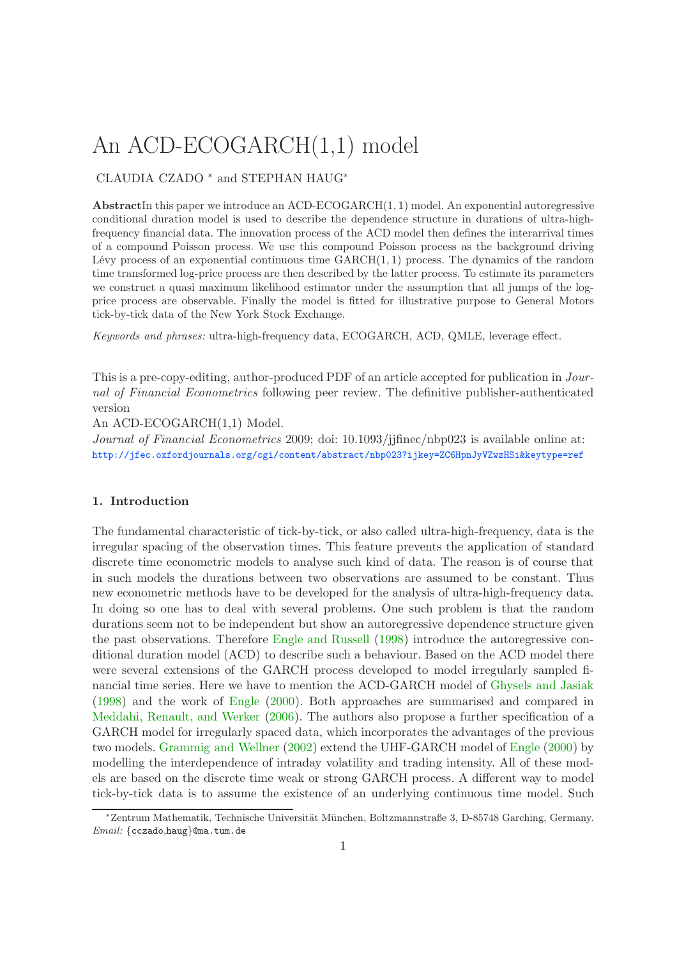# An ACD-ECOGARCH(1,1) model

# CLAUDIA CZADO <sup>∗</sup> and STEPHAN HAUG<sup>∗</sup>

AbstractIn this paper we introduce an ACD-ECOGARCH $(1, 1)$  model. An exponential autoregressive conditional duration model is used to describe the dependence structure in durations of ultra-highfrequency financial data. The innovation process of the ACD model then defines the interarrival times of a compound Poisson process. We use this compound Poisson process as the background driving Lévy process of an exponential continuous time  $GARCH(1, 1)$  process. The dynamics of the random time transformed log-price process are then described by the latter process. To estimate its parameters we construct a quasi maximum likelihood estimator under the assumption that all jumps of the logprice process are observable. Finally the model is fitted for illustrative purpose to General Motors tick-by-tick data of the New York Stock Exchange.

Keywords and phrases: ultra-high-frequency data, ECOGARCH, ACD, QMLE, leverage effect.

This is a pre-copy-editing, author-produced PDF of an article accepted for publication in Journal of Financial Econometrics following peer review. The definitive publisher-authenticated version

An ACD-ECOGARCH(1,1) Model.

Journal of Financial Econometrics 2009; doi: 10.1093/jjfinec/nbp023 is available online at: <http://jfec.oxfordjournals.org/cgi/content/abstract/nbp023?ijkey=ZC6HpnJyVZwzHSi&keytype=ref>

## 1. Introduction

The fundamental characteristic of tick-by-tick, or also called ultra-high-frequency, data is the irregular spacing of the observation times. This feature prevents the application of standard discrete time econometric models to analyse such kind of data. The reason is of course that in such models the durations between two observations are assumed to be constant. Thus new econometric methods have to be developed for the analysis of ultra-high-frequency data. In doing so one has to deal with several problems. One such problem is that the random durations seem not to be independent but show an autoregressive dependence structure given the past observations. Therefore [Engle and Russell](#page-7-0) [\(1998\)](#page-7-0) introduce the autoregressive conditional duration model (ACD) to describe such a behaviour. Based on the ACD model there were several extensions of the GARCH process developed to model irregularly sampled financial time series. Here we have to mention the ACD-GARCH model of [Ghysels and Jasiak](#page-7-1) [\(1998](#page-7-1)) and the work of [Engle](#page-7-2) [\(2000](#page-7-2)). Both approaches are summarised and compared in [Meddahi, Renault, and Werker](#page-8-0) [\(2006](#page-8-0)). The authors also propose a further specification of a GARCH model for irregularly spaced data, which incorporates the advantages of the previous two models. [Grammig and Wellner](#page-7-3) [\(2002](#page-7-3)) extend the UHF-GARCH model of [Engle](#page-7-2) [\(2000](#page-7-2)) by modelling the interdependence of intraday volatility and trading intensity. All of these models are based on the discrete time weak or strong GARCH process. A different way to model tick-by-tick data is to assume the existence of an underlying continuous time model. Such

<sup>∗</sup>Zentrum Mathematik, Technische Universit¨at M¨unchen, Boltzmannstraße 3, D-85748 Garching, Germany. Email: {cczado,haug}@ma.tum.de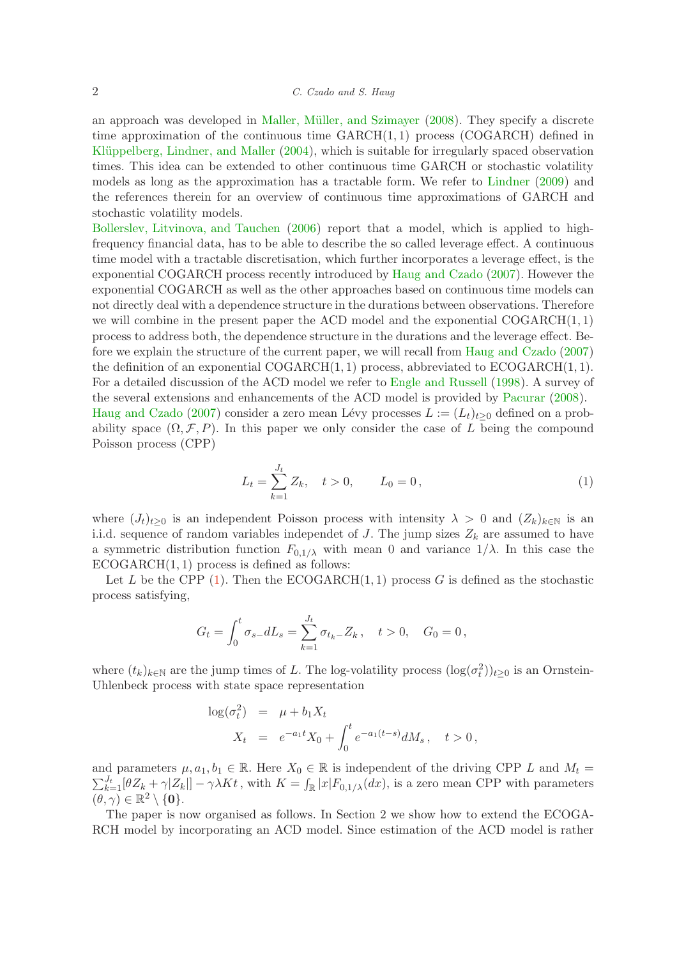an approach was developed in Maller, Müller, and Szimayer [\(2008](#page-8-1)). They specify a discrete time approximation of the continuous time  $GARCH(1, 1)$  process (COGARCH) defined in Klüppelberg, Lindner, and Maller [\(2004](#page-8-2)), which is suitable for irregularly spaced observation times. This idea can be extended to other continuous time GARCH or stochastic volatility models as long as the approximation has a tractable form. We refer to [Lindner](#page-8-3) [\(2009\)](#page-8-3) and the references therein for an overview of continuous time approximations of GARCH and stochastic volatility models.

[Bollerslev, Litvinova, and Tauchen](#page-7-4) [\(2006](#page-7-4)) report that a model, which is applied to highfrequency financial data, has to be able to describe the so called leverage effect. A continuous time model with a tractable discretisation, which further incorporates a leverage effect, is the exponential COGARCH process recently introduced by [Haug and Czado](#page-8-4) [\(2007](#page-8-4)). However the exponential COGARCH as well as the other approaches based on continuous time models can not directly deal with a dependence structure in the durations between observations. Therefore we will combine in the present paper the ACD model and the exponential  $COGARCH(1, 1)$ process to address both, the dependence structure in the durations and the leverage effect. Before we explain the structure of the current paper, we will recall from [Haug and Czado](#page-8-4) [\(2007](#page-8-4)) the definition of an exponential  $COGARCH(1, 1)$  process, abbreviated to  $ECOGARCH(1, 1)$ . For a detailed discussion of the ACD model we refer to [Engle and Russell](#page-7-0) [\(1998](#page-7-0)). A survey of the several extensions and enhancements of the ACD model is provided by [Pacurar](#page-8-5) [\(2008](#page-8-5)). [Haug and Czado](#page-8-4) [\(2007](#page-8-4)) consider a zero mean Lévy processes  $L := (L_t)_{t>0}$  defined on a probability space  $(\Omega, \mathcal{F}, P)$ . In this paper we only consider the case of L being the compound Poisson process (CPP)

$$
L_t = \sum_{k=1}^{J_t} Z_k, \quad t > 0, \qquad L_0 = 0, \tag{1}
$$

<span id="page-1-0"></span>where  $(J_t)_{t>0}$  is an independent Poisson process with intensity  $\lambda > 0$  and  $(Z_k)_{k\in\mathbb{N}}$  is an i.i.d. sequence of random variables independet of J. The jump sizes  $Z_k$  are assumed to have a symmetric distribution function  $F_{0,1/\lambda}$  with mean 0 and variance  $1/\lambda$ . In this case the  $ECOGARCH(1, 1)$  process is defined as follows:

Let L be the CPP [\(1\)](#page-1-0). Then the ECOGARCH $(1, 1)$  process G is defined as the stochastic process satisfying,

$$
G_t = \int_0^t \sigma_{s-} dL_s = \sum_{k=1}^{J_t} \sigma_{t_k} \, Z_k, \quad t > 0, \quad G_0 = 0 \,,
$$

where  $(t_k)_{k\in\mathbb{N}}$  are the jump times of L. The log-volatility process  $(\log(\sigma_t^2))_{t\geq 0}$  is an Ornstein-Uhlenbeck process with state space representation

$$
\log(\sigma_t^2) = \mu + b_1 X_t
$$
  

$$
X_t = e^{-a_1 t} X_0 + \int_0^t e^{-a_1(t-s)} dM_s, \quad t > 0,
$$

and parameters  $\mu, a_1, b_1 \in \mathbb{R}$ . Here  $X_0 \in \mathbb{R}$  is independent of the driving CPP L and  $M_t =$  $\mathcal{J}_{k+1}^t[\theta Z_k + \gamma |Z_k|] - \gamma \lambda Kt$ , with  $K = \int_{\mathbb{R}} |x| F_{0,1/\lambda}(dx)$ , is a zero mean CPP with parameters  $(\theta, \gamma) \in \mathbb{R}^2 \setminus \{\mathbf{0}\}.$ 

The paper is now organised as follows. In Section 2 we show how to extend the ECOGA-RCH model by incorporating an ACD model. Since estimation of the ACD model is rather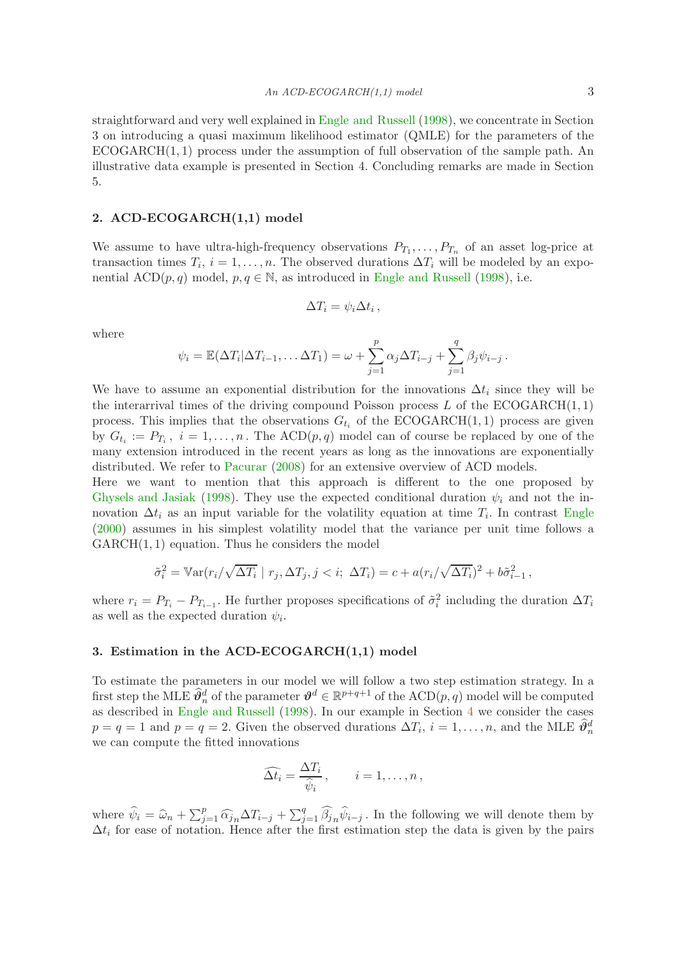straightforward and very well explained in [Engle and Russell](#page-7-0) [\(1998](#page-7-0)), we concentrate in Section 3 on introducing a quasi maximum likelihood estimator (QMLE) for the parameters of the ECOGARCH(1, 1) process under the assumption of full observation of the sample path. An illustrative data example is presented in Section 4. Concluding remarks are made in Section 5.

# 2. ACD-ECOGARCH(1,1) model

We assume to have ultra-high-frequency observations  $P_{T_1}, \ldots, P_{T_n}$  of an asset log-price at transaction times  $T_i$ ,  $i = 1, \ldots, n$ . The observed durations  $\Delta T_i$  will be modeled by an exponential  $\text{ACD}(p,q)$  model,  $p, q \in \mathbb{N}$ , as introduced in [Engle and Russell](#page-7-0) [\(1998](#page-7-0)), i.e.

$$
\Delta T_i = \psi_i \Delta t_i ,
$$

where

$$
\psi_i = \mathbb{E}(\Delta T_i | \Delta T_{i-1}, \dots \Delta T_1) = \omega + \sum_{j=1}^p \alpha_j \Delta T_{i-j} + \sum_{j=1}^q \beta_j \psi_{i-j}.
$$

We have to assume an exponential distribution for the innovations  $\Delta t_i$  since they will be the interarrival times of the driving compound Poisson process  $L$  of the ECOGARCH $(1, 1)$ process. This implies that the observations  $G_{t_i}$  of the ECOGARCH(1,1) process are given by  $G_{t_i} := P_{T_i}$ ,  $i = 1, \ldots, n$ . The  $\text{ACD}(p, q)$  model can of course be replaced by one of the many extension introduced in the recent years as long as the innovations are exponentially distributed. We refer to [Pacurar](#page-8-5) [\(2008](#page-8-5)) for an extensive overview of ACD models.

Here we want to mention that this approach is different to the one proposed by [Ghysels and Jasiak](#page-7-1) [\(1998](#page-7-1)). They use the expected conditional duration  $\psi_i$  and not the innovation  $\Delta t_i$  as an input variable for the volatility equation at time  $T_i$ . In contrast [Engle](#page-7-2) [\(2000](#page-7-2)) assumes in his simplest volatility model that the variance per unit time follows a  $GARCH(1, 1)$  equation. Thus he considers the model

$$
\tilde{\sigma}_i^2 = \mathbb{V}\ar(r_i/\sqrt{\Delta T_i} \mid r_j, \Delta T_j, j < i; \Delta T_i) = c + a(r_i/\sqrt{\Delta T_i})^2 + b\tilde{\sigma}_{i-1}^2,
$$

where  $r_i = P_{T_i} - P_{T_{i-1}}$ . He further proposes specifications of  $\tilde{\sigma}_i^2$  including the duration  $\Delta T_i$ as well as the expected duration  $\psi_i$ .

#### <span id="page-2-0"></span>3. Estimation in the ACD-ECOGARCH(1,1) model

To estimate the parameters in our model we will follow a two step estimation strategy. In a first step the MLE  $\widehat{\theta}_n^d$  of the parameter  $\vartheta^d \in \mathbb{R}^{p+q+1}$  of the  $\mathrm{ACD}(p,q)$  model will be computed as described in [Engle and Russell](#page-7-0) [\(1998](#page-7-0)). In our example in Section [4](#page-4-0) we consider the cases  $p = q = 1$  and  $p = q = 2$ . Given the observed durations  $\Delta T_i$ ,  $i = 1, \ldots, n$ , and the MLE  $\widehat{\theta}_n^d$ we can compute the fitted innovations

$$
\widehat{\Delta t_i} = \frac{\Delta T_i}{\widehat{\psi}_i}, \qquad i = 1, \dots, n,
$$

where  $\hat{\psi}_i = \hat{\omega}_n + \sum_{j=1}^p \hat{\alpha}_{j,n} \hat{\omega}_{i-j} + \sum_{j=1}^q \hat{\beta}_{j,n} \hat{\psi}_{i-j}$ . In the following we will denote them by  $\Delta t_i$  for ease of notation. Hence after the first estimation step the data is given by the pairs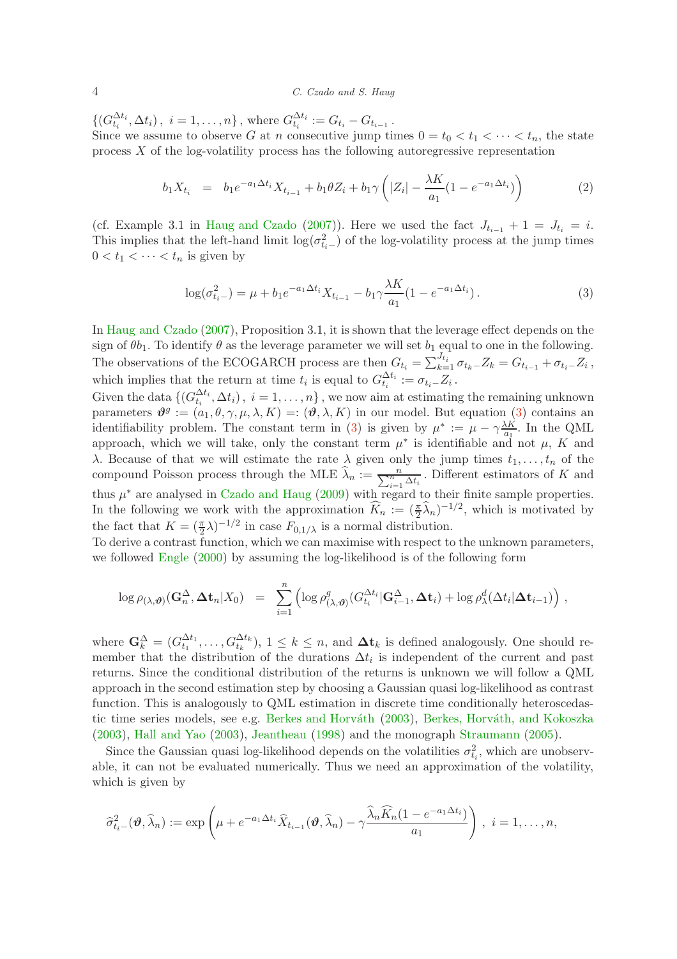#### 4 C. Czado and S. Haug

 $\{(G_{t_i}^{\Delta t_i}, \Delta t_i), i = 1, \ldots, n\},\$  where  $G_{t_i}^{\Delta t_i} := G_{t_i} - G_{t_{i-1}}$ .

Since we assume to observe G at n consecutive jump times  $0 = t_0 < t_1 < \cdots < t_n$ , the state process  $X$  of the log-volatility process has the following autoregressive representation

$$
b_1 X_{t_i} = b_1 e^{-a_1 \Delta t_i} X_{t_{i-1}} + b_1 \theta Z_i + b_1 \gamma \left( |Z_i| - \frac{\lambda K}{a_1} (1 - e^{-a_1 \Delta t_i}) \right)
$$
 (2)

<span id="page-3-1"></span>(cf. Example 3.1 in [Haug and Czado](#page-8-4) [\(2007](#page-8-4))). Here we used the fact  $J_{t_{i-1}} + 1 = J_{t_i} = i$ . This implies that the left-hand limit  $\log(\sigma_{t_i-}^2)$  of the log-volatility process at the jump times  $0 < t_1 < \cdots < t_n$  is given by

$$
\log(\sigma_{t_i-}^2) = \mu + b_1 e^{-a_1 \Delta t_i} X_{t_{i-1}} - b_1 \gamma \frac{\lambda K}{a_1} (1 - e^{-a_1 \Delta t_i}). \tag{3}
$$

<span id="page-3-0"></span>In [Haug and Czado](#page-8-4) [\(2007](#page-8-4)), Proposition 3.1, it is shown that the leverage effect depends on the sign of  $\theta b_1$ . To identify  $\theta$  as the leverage parameter we will set  $b_1$  equal to one in the following. The observations of the ECOGARCH process are then  $G_{t_i} = \sum_{k=1}^{J_{t_i}} \sigma_{t_k} - Z_k = G_{t_{i-1}} + \sigma_{t_i} - Z_i$ , which implies that the return at time  $t_i$  is equal to  $G_{t_i}^{\Delta t_i} := \sigma_{t_i} Z_i$ .

Given the data  $\{(G_{t_i}^{\Delta t_i}, \Delta t_i), i = 1, \ldots, n\}$ , we now aim at estimating the remaining unknown parameters  $\mathbf{\hat{\theta}}^g := (a_1, \theta, \gamma, \mu, \lambda, K) =: (\mathbf{\hat{\theta}}, \lambda, K)$  in our model. But equation [\(3\)](#page-3-0) contains an identifiability problem. The constant term in [\(3\)](#page-3-0) is given by  $\mu^* := \mu - \gamma \frac{\lambda K}{a_1}$  $\frac{\Delta K}{a_1}$ . In the QML approach, which we will take, only the constant term  $\mu^*$  is identifiable and not  $\mu$ , K and  $\lambda$ . Because of that we will estimate the rate  $\lambda$  given only the jump times  $t_1, \ldots, t_n$  of the compound Poisson process through the MLE  $\widehat{\lambda}_n := \frac{n}{\sum_{i=1}^n \Delta t_i}$ . Different estimators of K and thus  $\mu^*$  are analysed in [Czado and Haug](#page-7-5) [\(2009](#page-7-5)) with regard to their finite sample properties. In the following we work with the approximation  $\widehat{K}_n := (\frac{\pi}{2}\widehat{\lambda}_n)^{-1/2}$ , which is motivated by the fact that  $K = (\frac{\pi}{2}\lambda)^{-1/2}$  in case  $F_{0,1/\lambda}$  is a normal distribution.

To derive a contrast function, which we can maximise with respect to the unknown parameters, we followed [Engle](#page-7-2) [\(2000](#page-7-2)) by assuming the log-likelihood is of the following form

$$
\log \rho_{(\lambda,\boldsymbol{\vartheta})}(\mathbf{G}_n^{\Delta}, \boldsymbol{\Delta t}_n | X_0) = \sum_{i=1}^n \left( \log \rho_{(\lambda,\boldsymbol{\vartheta})}^g(G_{t_i}^{\Delta t_i} | \mathbf{G}_{i-1}^{\Delta}, \boldsymbol{\Delta t}_i) + \log \rho_{\lambda}^d(\Delta t_i | \boldsymbol{\Delta t}_{i-1}) \right),
$$

where  $\mathbf{G}_k^{\Delta} = (G_{t_1}^{\Delta t_1}, \ldots, G_{t_k}^{\Delta t_k}), 1 \leq k \leq n$ , and  $\Delta t_k$  is defined analogously. One should remember that the distribution of the durations  $\Delta t_i$  is independent of the current and past returns. Since the conditional distribution of the returns is unknown we will follow a QML approach in the second estimation step by choosing a Gaussian quasi log-likelihood as contrast function. This is analogously to QML estimation in discrete time conditionally heteroscedas-tic time series models, see e.g. Berkes and Horváth [\(2003](#page-7-6)), Berkes, Horváth, and Kokoszka [\(2003](#page-7-7)), [Hall and Yao](#page-7-8) [\(2003](#page-7-8)), [Jeantheau](#page-8-6) [\(1998](#page-8-6)) and the monograph [Straumann](#page-8-7) [\(2005](#page-8-7)).

Since the Gaussian quasi log-likelihood depends on the volatilities  $\sigma_{t_i}^2$ , which are unobservable, it can not be evaluated numerically. Thus we need an approximation of the volatility, which is given by

$$
\widehat{\sigma}_{t_i-}^2(\boldsymbol{\vartheta},\widehat{\lambda}_n):=\exp\left(\mu+e^{-a_1\Delta t_i}\widehat{X}_{t_{i-1}}(\boldsymbol{\vartheta},\widehat{\lambda}_n)-\gamma\frac{\widehat{\lambda}_n\widehat{K}_n(1-e^{-a_1\Delta t_i})}{a_1}\right),\ i=1,\ldots,n,
$$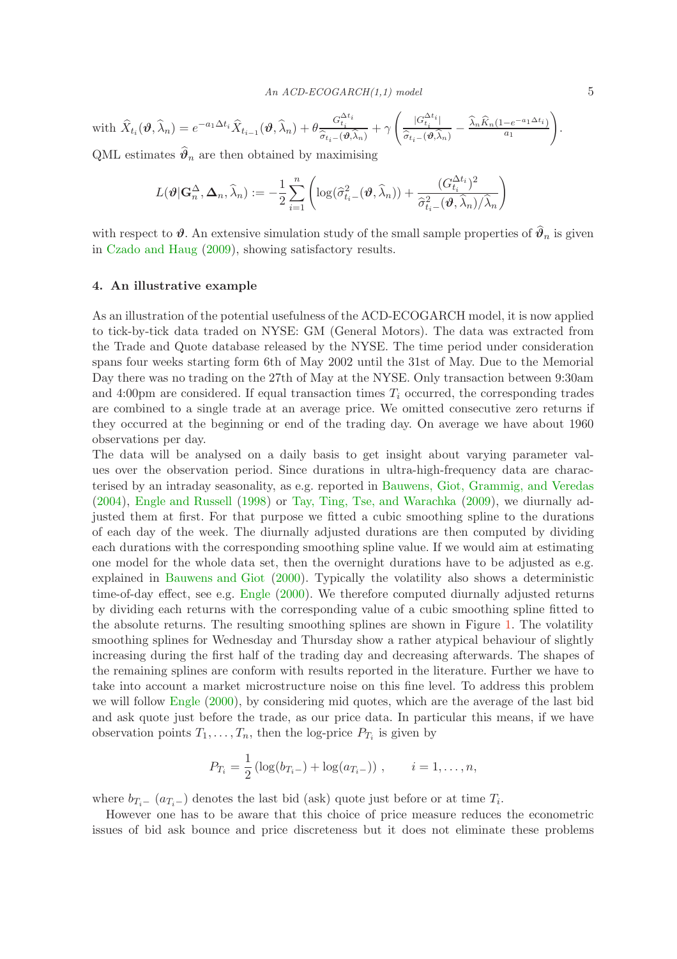with 
$$
\widehat{X}_{t_i}(\boldsymbol{\vartheta}, \widehat{\lambda}_n) = e^{-a_1 \Delta t_i} \widehat{X}_{t_{i-1}}(\boldsymbol{\vartheta}, \widehat{\lambda}_n) + \theta \frac{G_{t_i}^{\Delta t_i}}{\widehat{\sigma}_{t_i}(\boldsymbol{\vartheta}, \widehat{\lambda}_n)} + \gamma \left( \frac{|G_{t_i}^{\Delta t_i}|}{\widehat{\sigma}_{t_i}(\boldsymbol{\vartheta}, \widehat{\lambda}_n)} - \frac{\widehat{\lambda}_n \widehat{K}_n (1 - e^{-a_1 \Delta t_i})}{a_1} \right).
$$

QML estimates  $\widehat{\theta}_n$  are then obtained by maximising

$$
L(\boldsymbol{\vartheta}|\mathbf{G}_n^{\Delta},\boldsymbol{\Delta}_n,\widehat{\lambda}_n) := -\frac{1}{2} \sum_{i=1}^n \left( \log(\widehat{\sigma}_{t_i-}^2(\boldsymbol{\vartheta},\widehat{\lambda}_n)) + \frac{(G_{t_i}^{\Delta t_i})^2}{\widehat{\sigma}_{t_i-}^2(\boldsymbol{\vartheta},\widehat{\lambda}_n)/\widehat{\lambda}_n} \right)
$$

with respect to  $\vartheta$ . An extensive simulation study of the small sample properties of  $\widehat{\vartheta}_n$  is given in [Czado and Haug](#page-7-5) [\(2009](#page-7-5)), showing satisfactory results.

### <span id="page-4-0"></span>4. An illustrative example

As an illustration of the potential usefulness of the ACD-ECOGARCH model, it is now applied to tick-by-tick data traded on NYSE: GM (General Motors). The data was extracted from the Trade and Quote database released by the NYSE. The time period under consideration spans four weeks starting form 6th of May 2002 until the 31st of May. Due to the Memorial Day there was no trading on the 27th of May at the NYSE. Only transaction between 9:30am and 4:00pm are considered. If equal transaction times  $T_i$  occurred, the corresponding trades are combined to a single trade at an average price. We omitted consecutive zero returns if they occurred at the beginning or end of the trading day. On average we have about 1960 observations per day.

The data will be analysed on a daily basis to get insight about varying parameter values over the observation period. Since durations in ultra-high-frequency data are characterised by an intraday seasonality, as e.g. reported in [Bauwens, Giot, Grammig, and Veredas](#page-7-9) [\(2004](#page-7-9)), [Engle and Russell](#page-7-0) [\(1998](#page-7-0)) or [Tay, Ting, Tse, and Warachka](#page-8-8) [\(2009](#page-8-8)), we diurnally adjusted them at first. For that purpose we fitted a cubic smoothing spline to the durations of each day of the week. The diurnally adjusted durations are then computed by dividing each durations with the corresponding smoothing spline value. If we would aim at estimating one model for the whole data set, then the overnight durations have to be adjusted as e.g. explained in [Bauwens and Giot](#page-7-10) [\(2000](#page-7-10)). Typically the volatility also shows a deterministic time-of-day effect, see e.g. [Engle](#page-7-2) [\(2000\)](#page-7-2). We therefore computed diurnally adjusted returns by dividing each returns with the corresponding value of a cubic smoothing spline fitted to the absolute returns. The resulting smoothing splines are shown in Figure [1.](#page-5-0) The volatility smoothing splines for Wednesday and Thursday show a rather atypical behaviour of slightly increasing during the first half of the trading day and decreasing afterwards. The shapes of the remaining splines are conform with results reported in the literature. Further we have to take into account a market microstructure noise on this fine level. To address this problem we will follow [Engle](#page-7-2) [\(2000](#page-7-2)), by considering mid quotes, which are the average of the last bid and ask quote just before the trade, as our price data. In particular this means, if we have observation points  $T_1, \ldots, T_n$ , then the log-price  $P_{T_i}$  is given by

$$
P_{T_i} = \frac{1}{2} \left( \log(b_{T_i-}) + \log(a_{T_i-}) \right) , \qquad i = 1, \dots, n,
$$

where  $b_{T_i-}$   $(a_{T_i-})$  denotes the last bid (ask) quote just before or at time  $T_i$ .

However one has to be aware that this choice of price measure reduces the econometric issues of bid ask bounce and price discreteness but it does not eliminate these problems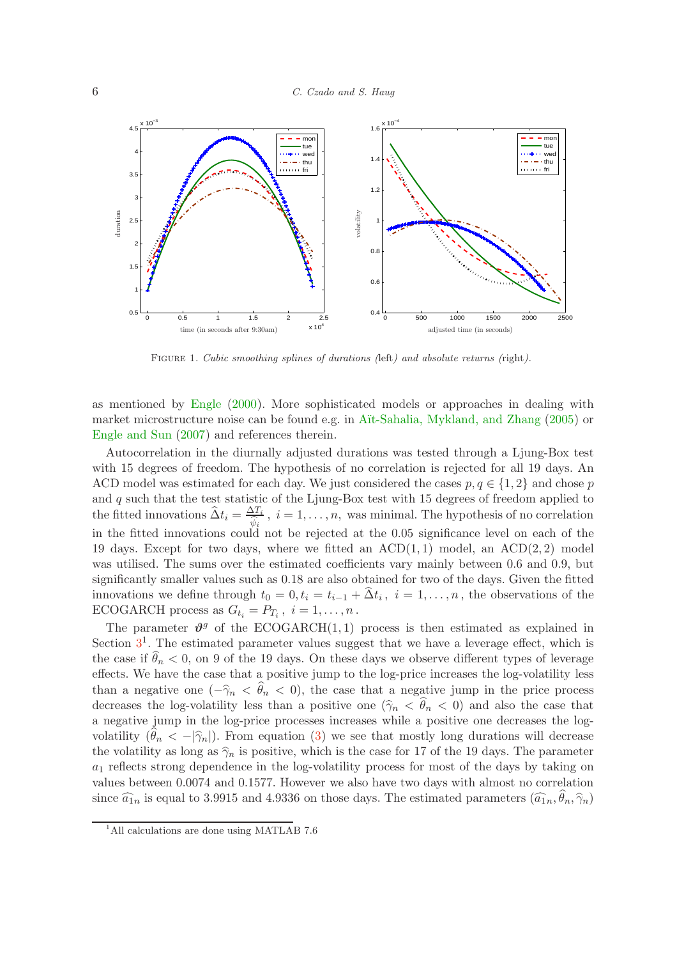

<span id="page-5-0"></span>FIGURE 1. Cubic smoothing splines of durations (left) and absolute returns (right).

as mentioned by [Engle](#page-7-2) [\(2000\)](#page-7-2). More sophisticated models or approaches in dealing with market microstructure noise can be found e.g. in Aït-Sahalia, Mykland, and Zhang [\(2005](#page-7-11)) or [Engle and Sun](#page-7-12) [\(2007](#page-7-12)) and references therein.

Autocorrelation in the diurnally adjusted durations was tested through a Ljung-Box test with 15 degrees of freedom. The hypothesis of no correlation is rejected for all 19 days. An ACD model was estimated for each day. We just considered the cases  $p, q \in \{1, 2\}$  and chose p and  $q$  such that the test statistic of the Ljung-Box test with 15 degrees of freedom applied to the fitted innovations  $\hat{\Delta}t_i = \frac{\Delta T_i}{\hat{d}_i}$ ,  $i = 1, \ldots, n$ , was minimal. The hypothesis of no correlation in the fitted innovations could not be rejected at the 0.05 significance level on each of the 19 days. Except for two days, where we fitted an  $\text{ACD}(1,1)$  model, an  $\text{ACD}(2,2)$  model was utilised. The sums over the estimated coefficients vary mainly between 0.6 and 0.9, but significantly smaller values such as 0.18 are also obtained for two of the days. Given the fitted innovations we define through  $t_0 = 0, t_i = t_{i-1} + \Delta t_i$ ,  $i = 1, \ldots, n$ , the observations of the ECOGARCH process as  $G_{t_i} = P_{T_i}$ ,  $i = 1, ..., n$ .

The parameter  $\mathbf{\hat{v}}^g$  of the ECOGARCH(1,1) process is then estimated as explained in Section  $3<sup>1</sup>$  $3<sup>1</sup>$ . The estimated parameter values suggest that we have a leverage effect, which is the case if  $\widehat{\theta}_n < 0$ , on 9 of the 19 days. On these days we observe different types of leverage effects. We have the case that a positive jump to the log-price increases the log-volatility less than a negative one  $(-\hat{\gamma}_n < \hat{\theta}_n < 0)$ , the case that a negative jump in the price process decreases the log-volatility less than a positive one  $(\hat{\gamma}_n \langle \hat{\theta}_n \rangle \langle 0)$  and also the case that a negative jump in the log-price processes increases while a positive one decreases the logvolatility  $(\theta_n < -|\hat{\gamma}_n|)$ . From equation [\(3\)](#page-3-0) we see that mostly long durations will decrease the volatility as long as  $\hat{\gamma}_n$  is positive, which is the case for 17 of the 19 days. The parameter  $a_1$  reflects strong dependence in the log-volatility process for most of the days by taking on values between 0.0074 and 0.1577. However we also have two days with almost no correlation since  $\widehat{a}_{1n}$  is equal to 3.9915 and 4.9336 on those days. The estimated parameters  $(\widehat{a}_{1n}, \theta_n, \widehat{\gamma}_n)$ 

<sup>&</sup>lt;sup>1</sup>All calculations are done using MATLAB 7.6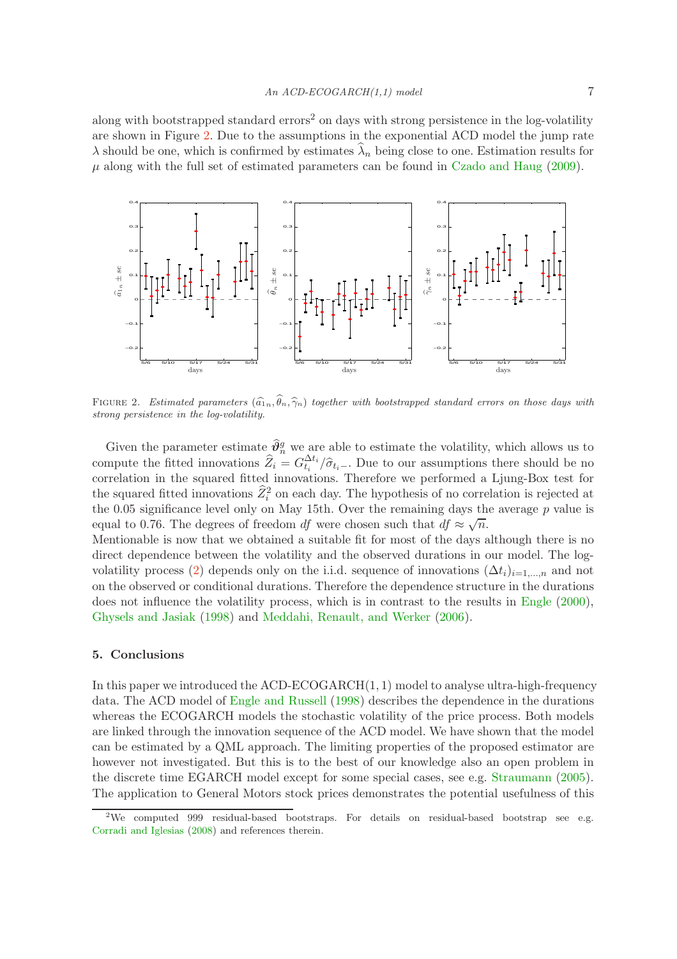along with bootstrapped standard errors<sup>2</sup> on days with strong persistence in the log-volatility are shown in Figure [2.](#page-6-0) Due to the assumptions in the exponential ACD model the jump rate  $\lambda$  should be one, which is confirmed by estimates  $\lambda_n$  being close to one. Estimation results for  $\mu$  along with the full set of estimated parameters can be found in [Czado and Haug](#page-7-5) [\(2009](#page-7-5)).



<span id="page-6-0"></span>FIGURE 2. Estimated parameters  $(\widehat{a}_{1n}, \widehat{\theta}_n, \widehat{\gamma}_n)$  together with bootstrapped standard errors on those days with strong persistence in the log-volatility.

Given the parameter estimate  $\hat{\theta}_n^g$  we are able to estimate the volatility, which allows us to compute the fitted innovations  $\hat{Z}_i = G_{t_i}^{\Delta t_i}/\hat{\sigma}_{t_i}$ . Due to our assumptions there should be no correlation in the squared fitted innovations. Therefore we performed a Ljung-Box test for the squared fitted innovations  $\hat{Z}_i^2$  on each day. The hypothesis of no correlation is rejected at the  $0.05$  significance level only on May 15th. Over the remaining days the average  $p$  value is equal to 0.76. The degrees of freedom df were chosen such that  $df \approx \sqrt{n}$ .

Mentionable is now that we obtained a suitable fit for most of the days although there is no direct dependence between the volatility and the observed durations in our model. The log-volatility process [\(2\)](#page-3-1) depends only on the i.i.d. sequence of innovations  $(\Delta t_i)_{i=1,\dots,n}$  and not on the observed or conditional durations. Therefore the dependence structure in the durations does not influence the volatility process, which is in contrast to the results in [Engle](#page-7-2) [\(2000](#page-7-2)), [Ghysels and Jasiak](#page-7-1) [\(1998](#page-7-1)) and [Meddahi, Renault, and Werker](#page-8-0) [\(2006](#page-8-0)).

# 5. Conclusions

In this paper we introduced the ACD-ECOGARCH $(1, 1)$  model to analyse ultra-high-frequency data. The ACD model of [Engle and Russell](#page-7-0) [\(1998](#page-7-0)) describes the dependence in the durations whereas the ECOGARCH models the stochastic volatility of the price process. Both models are linked through the innovation sequence of the ACD model. We have shown that the model can be estimated by a QML approach. The limiting properties of the proposed estimator are however not investigated. But this is to the best of our knowledge also an open problem in the discrete time EGARCH model except for some special cases, see e.g. [Straumann](#page-8-7) [\(2005](#page-8-7)). The application to General Motors stock prices demonstrates the potential usefulness of this

<sup>&</sup>lt;sup>2</sup>We computed 999 residual-based bootstraps. For details on residual-based bootstrap see e.g. [Corradi and Iglesias](#page-7-13) [\(2008\)](#page-7-13) and references therein.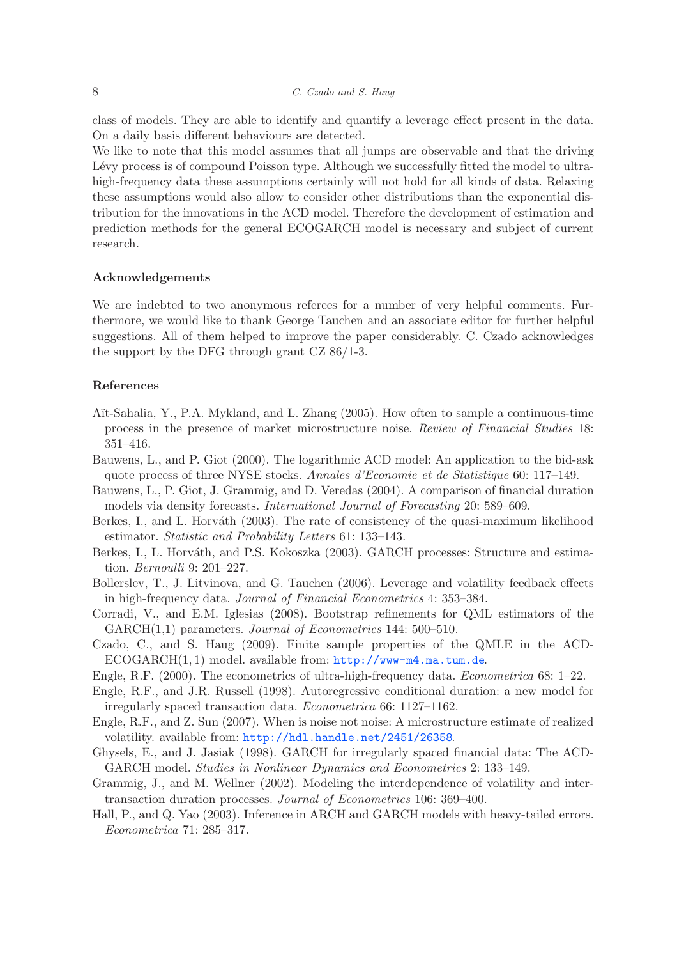class of models. They are able to identify and quantify a leverage effect present in the data. On a daily basis different behaviours are detected.

We like to note that this model assumes that all jumps are observable and that the driving Lévy process is of compound Poisson type. Although we successfully fitted the model to ultrahigh-frequency data these assumptions certainly will not hold for all kinds of data. Relaxing these assumptions would also allow to consider other distributions than the exponential distribution for the innovations in the ACD model. Therefore the development of estimation and prediction methods for the general ECOGARCH model is necessary and subject of current research.

#### Acknowledgements

We are indebted to two anonymous referees for a number of very helpful comments. Furthermore, we would like to thank George Tauchen and an associate editor for further helpful suggestions. All of them helped to improve the paper considerably. C. Czado acknowledges the support by the DFG through grant CZ 86/1-3.

# References

- <span id="page-7-11"></span>A¨ıt-Sahalia, Y., P.A. Mykland, and L. Zhang (2005). How often to sample a continuous-time process in the presence of market microstructure noise. Review of Financial Studies 18: 351–416.
- <span id="page-7-10"></span>Bauwens, L., and P. Giot (2000). The logarithmic ACD model: An application to the bid-ask quote process of three NYSE stocks. Annales d'Economie et de Statistique 60: 117–149.
- <span id="page-7-9"></span>Bauwens, L., P. Giot, J. Grammig, and D. Veredas (2004). A comparison of financial duration models via density forecasts. International Journal of Forecasting 20: 589–609.
- <span id="page-7-6"></span>Berkes, I., and L. Horváth (2003). The rate of consistency of the quasi-maximum likelihood estimator. Statistic and Probability Letters 61: 133–143.
- <span id="page-7-7"></span>Berkes, I., L. Horváth, and P.S. Kokoszka (2003). GARCH processes: Structure and estimation. Bernoulli 9: 201–227.
- <span id="page-7-4"></span>Bollerslev, T., J. Litvinova, and G. Tauchen (2006). Leverage and volatility feedback effects in high-frequency data. Journal of Financial Econometrics 4: 353–384.
- <span id="page-7-13"></span>Corradi, V., and E.M. Iglesias (2008). Bootstrap refinements for QML estimators of the GARCH(1,1) parameters. Journal of Econometrics 144: 500–510.
- <span id="page-7-5"></span>Czado, C., and S. Haug (2009). Finite sample properties of the QMLE in the ACD-ECOGARCH(1, 1) model. available from: <http://www-m4.ma.tum.de>.
- <span id="page-7-2"></span>Engle, R.F. (2000). The econometrics of ultra-high-frequency data. Econometrica 68: 1–22.
- <span id="page-7-0"></span>Engle, R.F., and J.R. Russell (1998). Autoregressive conditional duration: a new model for irregularly spaced transaction data. Econometrica 66: 1127–1162.
- <span id="page-7-12"></span>Engle, R.F., and Z. Sun (2007). When is noise not noise: A microstructure estimate of realized volatility. available from: <http://hdl.handle.net/2451/26358>.
- <span id="page-7-1"></span>Ghysels, E., and J. Jasiak (1998). GARCH for irregularly spaced financial data: The ACD-GARCH model. Studies in Nonlinear Dynamics and Econometrics 2: 133–149.
- <span id="page-7-3"></span>Grammig, J., and M. Wellner (2002). Modeling the interdependence of volatility and intertransaction duration processes. Journal of Econometrics 106: 369–400.
- <span id="page-7-8"></span>Hall, P., and Q. Yao (2003). Inference in ARCH and GARCH models with heavy-tailed errors. Econometrica 71: 285–317.